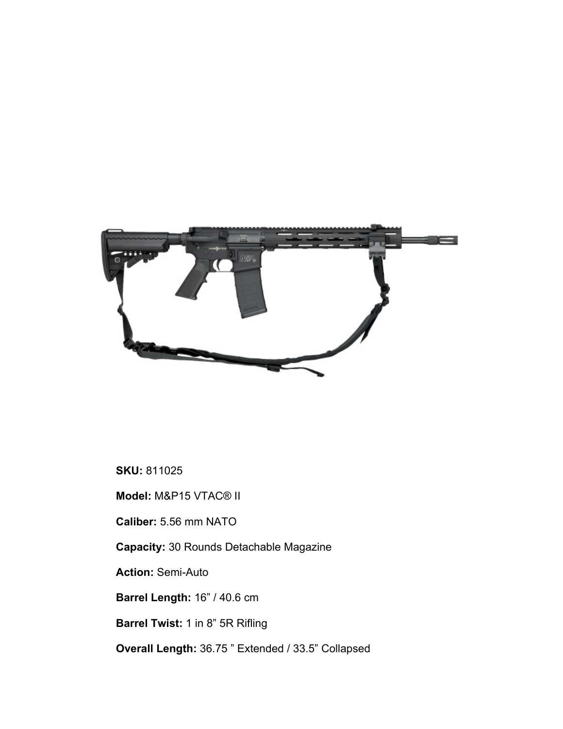

**SKU:** 811025

**Model:** M&P15 VTAC® II

**Caliber:** 5.56 mm NATO

**Capacity:** 30 Rounds Detachable Magazine

**Action:** Semi-Auto

**Barrel Length:** 16" / 40.6 cm

**Barrel Twist:** 1 in 8" 5R Rifling

**Overall Length:** 36.75 " Extended / 33.5" Collapsed